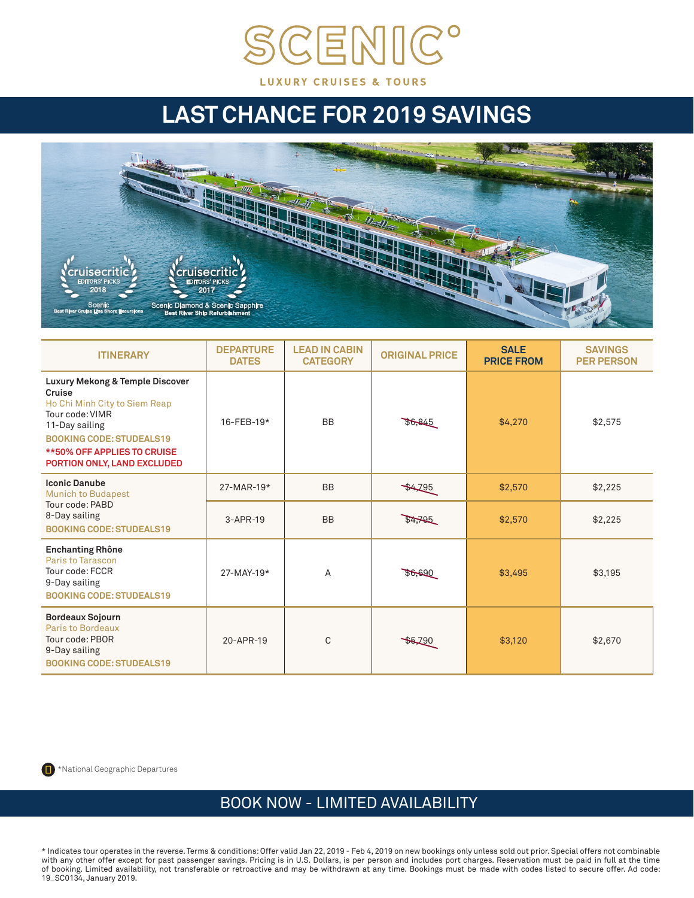

## **LAST CHANCE FOR 2019 SAVINGS**



| <b>ITINERARY</b>                                                                                                                                                                                                        | <b>DEPARTURE</b><br><b>DATES</b> | <b>LEAD IN CABIN</b><br><b>CATEGORY</b> | <b>ORIGINAL PRICE</b> | <b>SALE</b><br><b>PRICE FROM</b> | <b>SAVINGS</b><br><b>PER PERSON</b> |
|-------------------------------------------------------------------------------------------------------------------------------------------------------------------------------------------------------------------------|----------------------------------|-----------------------------------------|-----------------------|----------------------------------|-------------------------------------|
| Luxury Mekong & Temple Discover<br>Cruise<br>Ho Chi Minh City to Siem Reap<br>Tour code: VIMR<br>11-Day sailing<br><b>BOOKING CODE: STUDEALS19</b><br><b>**50% OFF APPLIES TO CRUISE</b><br>PORTION ONLY, LAND EXCLUDED | 16-FEB-19*                       | <b>BB</b>                               | \$0,845               | \$4,270                          | \$2,575                             |
| <b>Iconic Danube</b><br><b>Munich to Budapest</b><br>Tour code: PABD<br>8-Day sailing<br><b>BOOKING CODE: STUDEALS19</b>                                                                                                | 27-MAR-19*                       | <b>BB</b>                               | 44795                 | \$2,570                          | \$2,225                             |
|                                                                                                                                                                                                                         | $3-APR-19$                       | <b>BB</b>                               | \$4,795               | \$2,570                          | \$2,225                             |
| <b>Enchanting Rhône</b><br>Paris to Tarascon<br>Tour code: FCCR<br>9-Day sailing<br><b>BOOKING CODE: STUDEALS19</b>                                                                                                     | 27-MAY-19*                       | A                                       | 36,690                | \$3,495                          | \$3.195                             |
| <b>Bordeaux Sojourn</b><br>Paris to Bordeaux<br>Tour code: PBOR<br>9-Day sailing<br><b>BOOKING CODE: STUDEALS19</b>                                                                                                     | 20-APR-19                        | C                                       | \$5,290               | \$3,120                          | \$2,670                             |



## BOOK NOW - LIMITED AVAILABILITY

\* Indicates tour operates in the reverse. Terms & conditions: Offer valid Jan 22, 2019 - Feb 4, 2019 on new bookings only unless sold out prior. Special offers not combinable with any other offer except for past passenger savings. Pricing is in U.S. Dollars, is per person and includes port charges. Reservation must be paid in full at the time of booking. Limited availability, not transferable or retroactive and may be withdrawn at any time. Bookings must be made with codes listed to secure offer. Ad code: 19\_SC0134, January 2019.